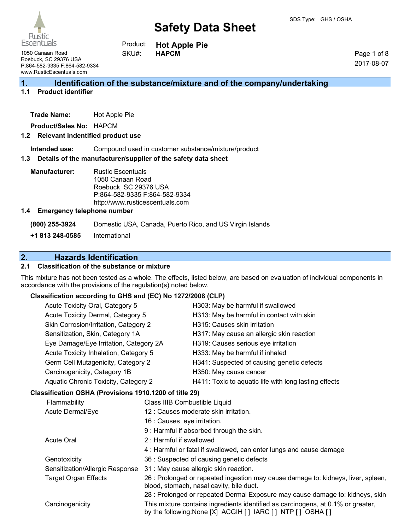Rustic Escentuals

**Hot Apple Pie HAPCM** Product: SKU#:

1050 Canaan Road Roebuck, SC 29376 USA P:864-582-9335 F:864-582-9334 www.RusticEscentuals.com

Page 1 of 8 2017-08-07

# **1. Identification of the substance/mixture and of the company/undertaking**

### **1.1 Product identifier**

**Trade Name:** Hot Apple Pie

**Product/Sales No:** HAPCM

#### **1.2 Relevant indentified product use**

**Intended use:** Compound used in customer substance/mixture/product

#### **1.3 Details of the manufacturer/supplier of the safety data sheet**

**Manufacturer:** Rustic Escentuals 1050 Canaan Road Roebuck, SC 29376 USA P:864-582-9335 F:864-582-9334 http://www.rusticescentuals.com

#### **1.4 Emergency telephone number**

**(800) 255-3924** Domestic USA, Canada, Puerto Rico, and US Virgin Islands

**+1 813 248-0585** International

# **2. Hazards Identification**

#### **2.1 Classification of the substance or mixture**

This mixture has not been tested as a whole. The effects, listed below, are based on evaluation of individual components in accordance with the provisions of the regulation(s) noted below.

#### **Classification according to GHS and (EC) No 1272/2008 (CLP)**

| Acute Toxicity Oral, Category 5                        |                               | H303: May be harmful if swallowed                                                                                                              |
|--------------------------------------------------------|-------------------------------|------------------------------------------------------------------------------------------------------------------------------------------------|
| Acute Toxicity Dermal, Category 5                      |                               | H313: May be harmful in contact with skin                                                                                                      |
| Skin Corrosion/Irritation, Category 2                  |                               | H315: Causes skin irritation                                                                                                                   |
| Sensitization, Skin, Category 1A                       |                               | H317: May cause an allergic skin reaction                                                                                                      |
| Eye Damage/Eye Irritation, Category 2A                 |                               | H319: Causes serious eye irritation                                                                                                            |
| Acute Toxicity Inhalation, Category 5                  |                               | H333: May be harmful if inhaled                                                                                                                |
| Germ Cell Mutagenicity, Category 2                     |                               | H341: Suspected of causing genetic defects                                                                                                     |
| Carcinogenicity, Category 1B                           |                               | H350: May cause cancer                                                                                                                         |
| Aquatic Chronic Toxicity, Category 2                   |                               | H411: Toxic to aquatic life with long lasting effects                                                                                          |
| Classification OSHA (Provisions 1910.1200 of title 29) |                               |                                                                                                                                                |
| Flammability                                           | Class IIIB Combustible Liquid |                                                                                                                                                |
| Acute Dermal/Eye                                       |                               | 12 : Causes moderate skin irritation.                                                                                                          |
|                                                        | 16 : Causes eye irritation.   |                                                                                                                                                |
|                                                        |                               | 9 : Harmful if absorbed through the skin.                                                                                                      |
| <b>Acute Oral</b>                                      | 2 : Harmful if swallowed      |                                                                                                                                                |
|                                                        |                               | 4: Harmful or fatal if swallowed, can enter lungs and cause damage                                                                             |
| Genotoxicity                                           |                               | 36 : Suspected of causing genetic defects                                                                                                      |
| Sensitization/Allergic Response                        |                               | 31 : May cause allergic skin reaction.                                                                                                         |
| <b>Target Organ Effects</b>                            |                               | 26 : Prolonged or repeated ingestion may cause damage to: kidneys, liver, spleen,<br>blood, stomach, nasal cavity, bile duct.                  |
|                                                        |                               | 28 : Prolonged or repeated Dermal Exposure may cause damage to: kidneys, skin                                                                  |
| Carcinogenicity                                        |                               | This mixture contains ingredients identified as carcinogens, at 0.1% or greater,<br>by the following: None [X] ACGIH [] IARC [] NTP [] OSHA [] |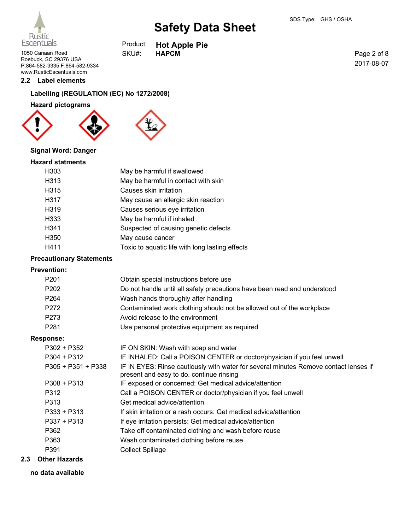**Hot Apple Pie**

Page 2 of 8 2017-08-07

1050 Canaan Road **HAPCM** SKU#: HAPCM Roebuck, SC 29376 USA P:864-582-9335 F:864-582-9334 www.RusticEscentuals.com

#### **2.2 Label elements**

# **Labelling (REGULATION (EC) No 1272/2008)**

# **Hazard pictograms**





Product: SKU#:

#### **Signal Word: Danger**

#### **Hazard statments**

| H303             | May be harmful if swallowed                     |
|------------------|-------------------------------------------------|
|                  |                                                 |
| H313             | May be harmful in contact with skin             |
| H315             | Causes skin irritation                          |
| H317             | May cause an allergic skin reaction             |
| H <sub>319</sub> | Causes serious eye irritation                   |
| H333             | May be harmful if inhaled                       |
| H341             | Suspected of causing genetic defects            |
| H350             | May cause cancer                                |
| H411             | Toxic to aquatic life with long lasting effects |
|                  |                                                 |

#### **Precautionary Statements**

#### **Prevention:**

| P201 | Obtain special instructions before use                                   |
|------|--------------------------------------------------------------------------|
| P202 | Do not handle until all safety precautions have been read and understood |
| P264 | Wash hands thoroughly after handling                                     |
| P272 | Contaminated work clothing should not be allowed out of the workplace    |
| P273 | Avoid release to the environment                                         |
| P281 | Use personal protective equipment as required                            |

#### **Response:**

| P302 + P352        | IF ON SKIN: Wash with soap and water                                                                                             |
|--------------------|----------------------------------------------------------------------------------------------------------------------------------|
| P304 + P312        | IF INHALED: Call a POISON CENTER or doctor/physician if you feel unwell                                                          |
| P305 + P351 + P338 | IF IN EYES: Rinse cautiously with water for several minutes Remove contact lenses if<br>present and easy to do. continue rinsing |
| P308 + P313        | IF exposed or concerned: Get medical advice/attention                                                                            |
| P312               | Call a POISON CENTER or doctor/physician if you feel unwell                                                                      |
| P313               | Get medical advice/attention                                                                                                     |
| P333 + P313        | If skin irritation or a rash occurs: Get medical advice/attention                                                                |
| P337 + P313        | If eye irritation persists: Get medical advice/attention                                                                         |
| P362               | Take off contaminated clothing and wash before reuse                                                                             |
| P363               | Wash contaminated clothing before reuse                                                                                          |
| P391               | <b>Collect Spillage</b>                                                                                                          |
|                    |                                                                                                                                  |

#### **2.3 Other Hazards**

**no data available**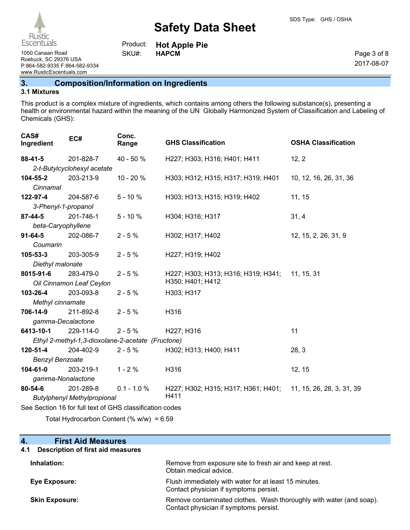**Hot Apple Pie**

Page 3 of 8 2017-08-07

1050 Canaan Road **HAPCM** SKU#: HAPCM Roebuck, SC 29376 USA P:864-582-9335 F:864-582-9334 www.RusticEscentuals.com

# **3. Composition/Information on Ingredients**

Product: SKU#:

#### **3.1 Mixtures**

This product is a complex mixture of ingredients, which contains among others the following substance(s), presenting a health or environmental hazard within the meaning of the UN Globally Harmonized System of Classification and Labeling of Chemicals (GHS):

| CAS#<br>Ingredient     | EC#                                | Conc.<br>Range                                           | <b>GHS Classification</b>           | <b>OSHA Classification</b> |
|------------------------|------------------------------------|----------------------------------------------------------|-------------------------------------|----------------------------|
| $88-41-5$              | 201-828-7                          | 40 - 50 %                                                | H227; H303; H316; H401; H411        | 12, 2                      |
|                        | 2-t-Butylcyclohexyl acetate        |                                                          |                                     |                            |
| 104-55-2               | 203-213-9                          | 10 - 20 %                                                | H303; H312; H315; H317; H319; H401  | 10, 12, 16, 26, 31, 36     |
| Cinnamal               |                                    |                                                          |                                     |                            |
| 122-97-4               | 204-587-6                          | $5 - 10%$                                                | H303; H313; H315; H319; H402        | 11, 15                     |
| 3-Phenyl-1-propanol    |                                    |                                                          |                                     |                            |
| 87-44-5                | 201-746-1                          | $5 - 10%$                                                | H304; H316; H317                    | 31, 4                      |
| beta-Caryophyllene     |                                    |                                                          |                                     |                            |
| $91 - 64 - 5$          | 202-086-7                          | $2 - 5%$                                                 | H302; H317; H402                    | 12, 15, 2, 26, 31, 9       |
| Coumarin               |                                    |                                                          |                                     |                            |
| 105-53-3               | 203-305-9                          | $2 - 5%$                                                 | H227; H319; H402                    |                            |
| Diethyl malonate       |                                    |                                                          |                                     |                            |
| 8015-91-6              | 283-479-0                          | $2 - 5%$                                                 | H227; H303; H313; H316; H319; H341; | 11, 15, 31                 |
|                        | Oil Cinnamon Leaf Ceylon           |                                                          | H350; H401; H412                    |                            |
| 103-26-4               | 203-093-8                          | $2 - 5%$                                                 | H303; H317                          |                            |
| Methyl cinnamate       |                                    |                                                          |                                     |                            |
| 706-14-9               | 211-892-8                          | $2 - 5%$                                                 | H316                                |                            |
| gamma-Decalactone      |                                    |                                                          |                                     |                            |
| 6413-10-1              | 229-114-0                          | $2 - 5%$                                                 | H227; H316                          | 11                         |
|                        |                                    | Ethyl 2-methyl-1,3-dioxolane-2-acetate (Fructone)        |                                     |                            |
| 120-51-4               | 204-402-9                          | $2 - 5%$                                                 | H302; H313; H400; H411              | 28, 3                      |
| <b>Benzyl Benzoate</b> |                                    |                                                          |                                     |                            |
| 104-61-0               | 203-219-1                          | $1 - 2%$                                                 | H316                                | 12, 15                     |
| gamma-Nonalactone      |                                    |                                                          |                                     |                            |
| 80-54-6                | 201-289-8                          | $0.1 - 1.0 %$                                            | H227; H302; H315; H317; H361; H401; | 11, 15, 26, 28, 3, 31, 39  |
|                        | <b>Butylphenyl Methylpropional</b> |                                                          | H411                                |                            |
|                        |                                    | See Section 16 for full text of GHS classification codes |                                     |                            |
|                        |                                    |                                                          |                                     |                            |

Total Hydrocarbon Content (% w/w) = 6.59

#### **4. First Aid Measures**

# **4.1 Description of first aid measures**

| Inhalation:           | Remove from exposure site to fresh air and keep at rest.<br>Obtain medical advice.                            |
|-----------------------|---------------------------------------------------------------------------------------------------------------|
| Eye Exposure:         | Flush immediately with water for at least 15 minutes.<br>Contact physician if symptoms persist.               |
| <b>Skin Exposure:</b> | Remove contaminated clothes. Wash thoroughly with water (and soap).<br>Contact physician if symptoms persist. |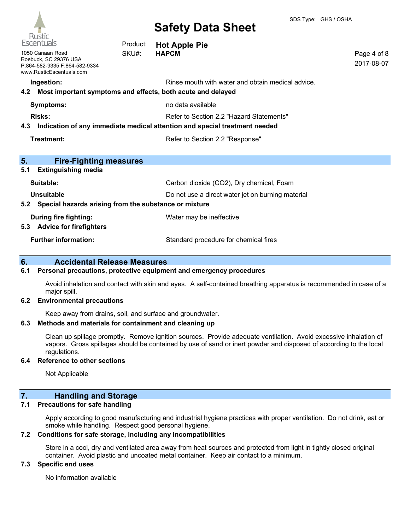

| Escentuals                                                                                             | Product: | <b>Hot Apple Pie</b>                                                                                             |                           |
|--------------------------------------------------------------------------------------------------------|----------|------------------------------------------------------------------------------------------------------------------|---------------------------|
| 1050 Canaan Road<br>Roebuck, SC 29376 USA<br>P:864-582-9335 F:864-582-9334<br>www.RusticEscentuals.com | SKU#:    | <b>HAPCM</b>                                                                                                     | Page 4 of 8<br>2017-08-07 |
| Ingestion:<br>4.2                                                                                      |          | Rinse mouth with water and obtain medical advice.<br>Most important symptoms and effects, both acute and delayed |                           |
| <b>Symptoms:</b>                                                                                       |          | no data available                                                                                                |                           |
| <b>Risks:</b>                                                                                          |          | Refer to Section 2.2 "Hazard Statements"                                                                         |                           |
| 4.3                                                                                                    |          | Indication of any immediate medical attention and special treatment needed                                       |                           |
| Treatment:                                                                                             |          | Refer to Section 2.2 "Response"                                                                                  |                           |
| 5.<br><b>Fire-Fighting measures</b>                                                                    |          |                                                                                                                  |                           |
| 5.1<br><b>Extinguishing media</b>                                                                      |          |                                                                                                                  |                           |
| Suitable:                                                                                              |          | Carbon dioxide (CO2), Dry chemical, Foam                                                                         |                           |
| Unsuitable                                                                                             |          | Do not use a direct water jet on burning material                                                                |                           |
| Special hazards arising from the substance or mixture<br>5.2                                           |          |                                                                                                                  |                           |
| <b>During fire fighting:</b><br><b>Advice for firefighters</b><br>5.3                                  |          | Water may be ineffective                                                                                         |                           |
| <b>Further information:</b>                                                                            |          | Standard procedure for chemical fires                                                                            |                           |

# **6. Accidental Release Measures**

#### **6.1 Personal precautions, protective equipment and emergency procedures**

Avoid inhalation and contact with skin and eyes. A self-contained breathing apparatus is recommended in case of a major spill.

#### **6.2 Environmental precautions**

Keep away from drains, soil, and surface and groundwater.

#### **6.3 Methods and materials for containment and cleaning up**

Clean up spillage promptly. Remove ignition sources. Provide adequate ventilation. Avoid excessive inhalation of vapors. Gross spillages should be contained by use of sand or inert powder and disposed of according to the local regulations.

#### **6.4 Reference to other sections**

Not Applicable

### **7. Handling and Storage**

#### **7.1 Precautions for safe handling**

Apply according to good manufacturing and industrial hygiene practices with proper ventilation. Do not drink, eat or smoke while handling. Respect good personal hygiene.

#### **7.2 Conditions for safe storage, including any incompatibilities**

Store in a cool, dry and ventilated area away from heat sources and protected from light in tightly closed original container. Avoid plastic and uncoated metal container. Keep air contact to a minimum.

#### **7.3 Specific end uses**

No information available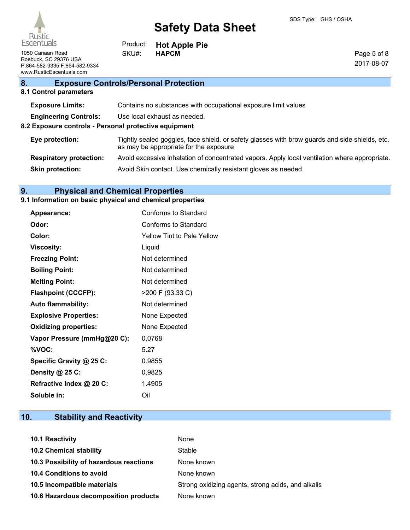

1050 Canaan Road **HAPCM** SKU#: HAPCM Roebuck, SC 29376 USA P:864-582-9335 F:864-582-9334 www.RusticEscentuals.com

**Hot Apple Pie** Product: SKU#:

Page 5 of 8 2017-08-07

# **8. Exposure Controls/Personal Protection**

#### **8.1 Control parameters**

| <b>Exposure Limits:</b>                               | Contains no substances with occupational exposure limit values                                                                           |
|-------------------------------------------------------|------------------------------------------------------------------------------------------------------------------------------------------|
| <b>Engineering Controls:</b>                          | Use local exhaust as needed.                                                                                                             |
| 8.2 Exposure controls - Personal protective equipment |                                                                                                                                          |
| Eye protection:                                       | Tightly sealed goggles, face shield, or safety glasses with brow guards and side shields, etc.<br>as may be appropriate for the exposure |
| <b>Respiratory protection:</b>                        | Avoid excessive inhalation of concentrated vapors. Apply local ventilation where appropriate.                                            |
| <b>Skin protection:</b>                               | Avoid Skin contact. Use chemically resistant gloves as needed.                                                                           |
|                                                       |                                                                                                                                          |

# **9. Physical and Chemical Properties**

# **9.1 Information on basic physical and chemical properties**

| <b>Appearance:</b>           | Conforms to Standard              |
|------------------------------|-----------------------------------|
| Odor:                        | Conforms to Standard              |
| Color:                       | <b>Yellow Tint to Pale Yellow</b> |
| <b>Viscosity:</b>            | Liquid                            |
| <b>Freezing Point:</b>       | Not determined                    |
| <b>Boiling Point:</b>        | Not determined                    |
| <b>Melting Point:</b>        | Not determined                    |
| <b>Flashpoint (CCCFP):</b>   | >200 F (93.33 C)                  |
| <b>Auto flammability:</b>    | Not determined                    |
| <b>Explosive Properties:</b> | None Expected                     |
| <b>Oxidizing properties:</b> | None Expected                     |
| Vapor Pressure (mmHg@20 C):  | 0.0768                            |
| %VOC:                        | 5.27                              |
| Specific Gravity @ 25 C:     | 0.9855                            |
| Density @ 25 C:              | 0.9825                            |
| Refractive Index @ 20 C:     | 1.4905                            |
| Soluble in:                  | Oil                               |

# **10. Stability and Reactivity**

| 10.1 Reactivity                         | None                                               |
|-----------------------------------------|----------------------------------------------------|
| <b>10.2 Chemical stability</b>          | Stable                                             |
| 10.3 Possibility of hazardous reactions | None known                                         |
| <b>10.4 Conditions to avoid</b>         | None known                                         |
| 10.5 Incompatible materials             | Strong oxidizing agents, strong acids, and alkalis |
| 10.6 Hazardous decomposition products   | None known                                         |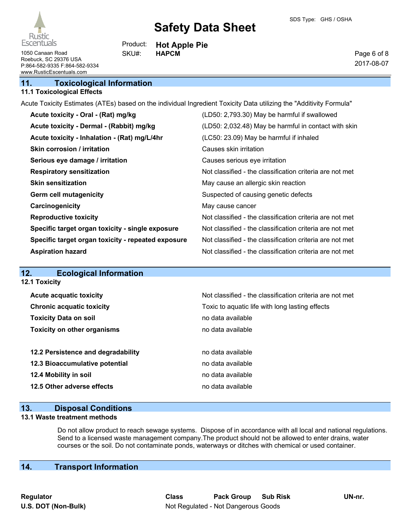

Page 6 of 8 2017-08-07

1050 Canaan Road **SKU#:** HAPCM Roebuck, SC 29376 USA P:864-582-9335 F:864-582-9334 www.RusticEscentuals.com

### **11. Toxicological Information**

#### **11.1 Toxicological Effects**

Acute Toxicity Estimates (ATEs) based on the individual Ingredient Toxicity Data utilizing the "Additivity Formula"

**Hot Apple Pie**

Product: SKU#:

| Acute toxicity - Oral - (Rat) mg/kg                | (LD50: 2,793.30) May be harmful if swallowed             |
|----------------------------------------------------|----------------------------------------------------------|
| Acute toxicity - Dermal - (Rabbit) mg/kg           | (LD50: 2,032.48) May be harmful in contact with skin     |
| Acute toxicity - Inhalation - (Rat) mg/L/4hr       | (LC50: 23.09) May be harmful if inhaled                  |
| <b>Skin corrosion / irritation</b>                 | Causes skin irritation                                   |
| Serious eye damage / irritation                    | Causes serious eye irritation                            |
| <b>Respiratory sensitization</b>                   | Not classified - the classification criteria are not met |
| <b>Skin sensitization</b>                          | May cause an allergic skin reaction                      |
| <b>Germ cell mutagenicity</b>                      | Suspected of causing genetic defects                     |
| Carcinogenicity                                    | May cause cancer                                         |
| <b>Reproductive toxicity</b>                       | Not classified - the classification criteria are not met |
| Specific target organ toxicity - single exposure   | Not classified - the classification criteria are not met |
| Specific target organ toxicity - repeated exposure | Not classified - the classification criteria are not met |
| <b>Aspiration hazard</b>                           | Not classified - the classification criteria are not met |

# **12. Ecological Information**

**12.1 Toxicity**

| <b>Acute acquatic toxicity</b>     | Not classified - the classification criteria are not met |
|------------------------------------|----------------------------------------------------------|
| <b>Chronic acquatic toxicity</b>   | Toxic to aquatic life with long lasting effects          |
| <b>Toxicity Data on soil</b>       | no data available                                        |
| <b>Toxicity on other organisms</b> | no data available                                        |
|                                    |                                                          |
| 12.2 Persistence and degradability | no data available                                        |
| 12.3 Bioaccumulative potential     | no data available                                        |
| 12.4 Mobility in soil              | no data available                                        |
| 12.5 Other adverse effects         | no data available                                        |

### **13. Disposal Conditions**

#### **13.1 Waste treatment methods**

Do not allow product to reach sewage systems. Dispose of in accordance with all local and national regulations. Send to a licensed waste management company.The product should not be allowed to enter drains, water courses or the soil. Do not contaminate ponds, waterways or ditches with chemical or used container.

# **14. Transport Information**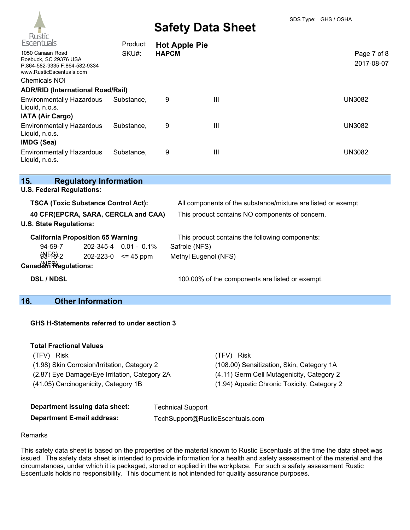

| Escentuals                                                                                             | Product:   | <b>Hot Apple Pie</b> |   |                           |
|--------------------------------------------------------------------------------------------------------|------------|----------------------|---|---------------------------|
| 1050 Canaan Road<br>Roebuck, SC 29376 USA<br>P:864-582-9335 F:864-582-9334<br>www.RusticEscentuals.com | SKU#:      | <b>HAPCM</b>         |   | Page 7 of 8<br>2017-08-07 |
| <b>Chemicals NOI</b>                                                                                   |            |                      |   |                           |
| <b>ADR/RID (International Road/Rail)</b>                                                               |            |                      |   |                           |
| <b>Environmentally Hazardous</b><br>Liquid, n.o.s.<br><b>IATA (Air Cargo)</b>                          | Substance. | 9                    | Ш | <b>UN3082</b>             |
| <b>Environmentally Hazardous</b><br>Liquid, n.o.s.<br>IMDG (Sea)                                       | Substance, | 9                    | Ш | <b>UN3082</b>             |
| <b>Environmentally Hazardous</b><br>Liquid, n.o.s.                                                     | Substance. | 9                    | Ш | <b>UN3082</b>             |

| 15.                                        | <b>Regulatory Information</b> |                             |                                                              |  |
|--------------------------------------------|-------------------------------|-----------------------------|--------------------------------------------------------------|--|
| <b>U.S. Federal Regulations:</b>           |                               |                             |                                                              |  |
| <b>TSCA (Toxic Substance Control Act):</b> |                               |                             | All components of the substance/mixture are listed or exempt |  |
| 40 CFR(EPCRA, SARA, CERCLA and CAA)        |                               |                             | This product contains NO components of concern.              |  |
| <b>U.S. State Regulations:</b>             |                               |                             |                                                              |  |
| <b>California Proposition 65 Warning</b>   |                               |                             | This product contains the following components:              |  |
| $94 - 59 - 7$                              |                               | $202 - 345 - 4$ 0.01 - 0.1% | Safrole (NFS)                                                |  |
| O <sub>2</sub>                             | 202-223-0                     | $\leq$ 45 ppm               | Methyl Eugenol (NFS)                                         |  |
| Canadian Regulations:                      |                               |                             |                                                              |  |
| <b>DSL / NDSL</b>                          |                               |                             | 100.00% of the components are listed or exempt.              |  |

# **16. Other Information**

#### **GHS H-Statements referred to under section 3**

| <b>Total Fractional Values</b>                |                                             |
|-----------------------------------------------|---------------------------------------------|
| (TFV) Risk                                    | (TFV) Risk                                  |
| (1.98) Skin Corrosion/Irritation, Category 2  | (108.00) Sensitization, Skin, Category 1A   |
| (2.87) Eye Damage/Eye Irritation, Category 2A | (4.11) Germ Cell Mutagenicity, Category 2   |
| (41.05) Carcinogenicity, Category 1B          | (1.94) Aquatic Chronic Toxicity, Category 2 |
|                                               |                                             |

| Department issuing data sheet:    | <b>Technical Support</b>         |
|-----------------------------------|----------------------------------|
| <b>Department E-mail address:</b> | TechSupport@RusticEscentuals.com |

#### Remarks

This safety data sheet is based on the properties of the material known to Rustic Escentuals at the time the data sheet was issued. The safety data sheet is intended to provide information for a health and safety assessment of the material and the circumstances, under which it is packaged, stored or applied in the workplace. For such a safety assessment Rustic Escentuals holds no responsibility. This document is not intended for quality assurance purposes.